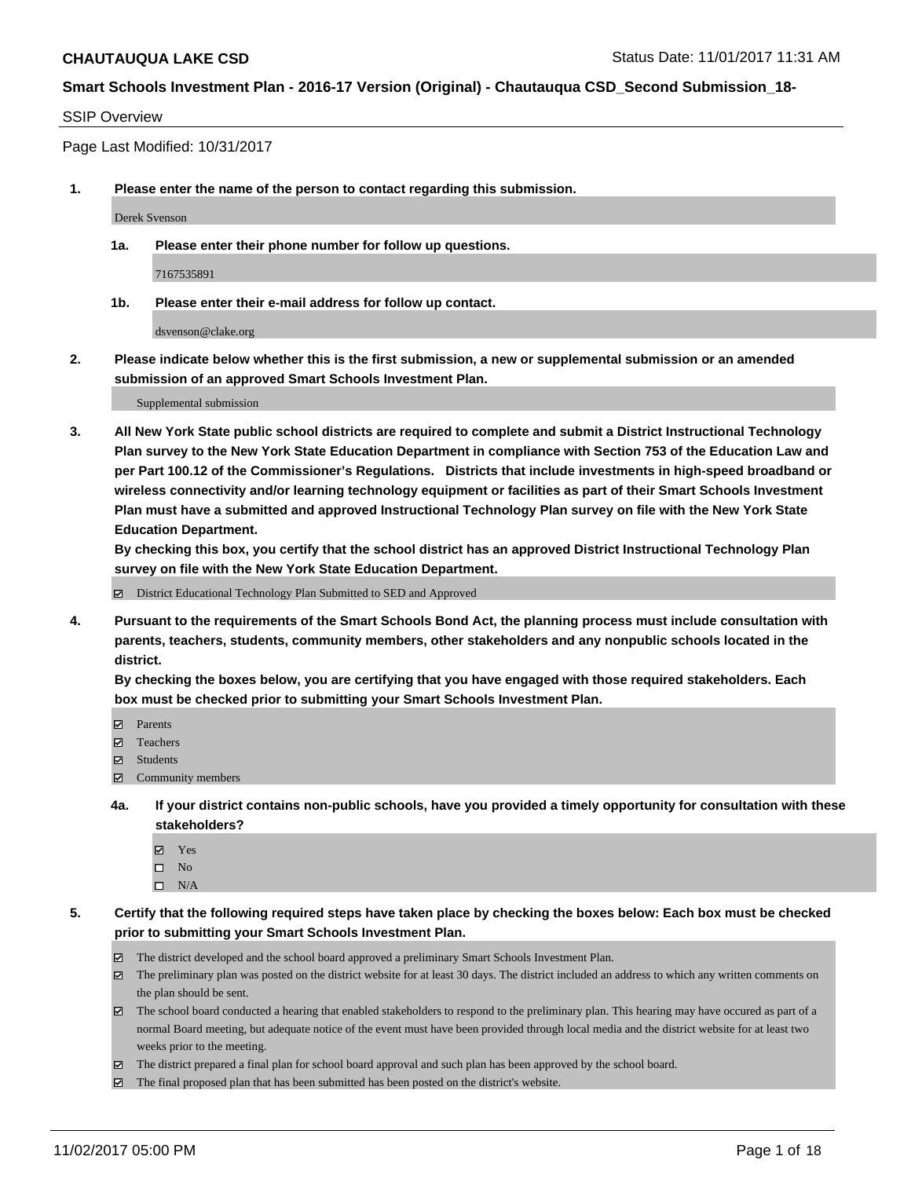#### SSIP Overview

Page Last Modified: 10/31/2017

**1. Please enter the name of the person to contact regarding this submission.**

Derek Svenson

**1a. Please enter their phone number for follow up questions.**

7167535891

**1b. Please enter their e-mail address for follow up contact.**

dsvenson@clake.org

**2. Please indicate below whether this is the first submission, a new or supplemental submission or an amended submission of an approved Smart Schools Investment Plan.**

Supplemental submission

**3. All New York State public school districts are required to complete and submit a District Instructional Technology Plan survey to the New York State Education Department in compliance with Section 753 of the Education Law and per Part 100.12 of the Commissioner's Regulations. Districts that include investments in high-speed broadband or wireless connectivity and/or learning technology equipment or facilities as part of their Smart Schools Investment Plan must have a submitted and approved Instructional Technology Plan survey on file with the New York State Education Department.** 

**By checking this box, you certify that the school district has an approved District Instructional Technology Plan survey on file with the New York State Education Department.**

District Educational Technology Plan Submitted to SED and Approved

**4. Pursuant to the requirements of the Smart Schools Bond Act, the planning process must include consultation with parents, teachers, students, community members, other stakeholders and any nonpublic schools located in the district.** 

**By checking the boxes below, you are certifying that you have engaged with those required stakeholders. Each box must be checked prior to submitting your Smart Schools Investment Plan.**

- **Parents**
- Teachers
- Students
- $\Xi$  Community members
- **4a. If your district contains non-public schools, have you provided a timely opportunity for consultation with these stakeholders?**
	- **Ø** Yes
	- $\square$  No
	- $\square$  N/A
- **5. Certify that the following required steps have taken place by checking the boxes below: Each box must be checked prior to submitting your Smart Schools Investment Plan.**
	- The district developed and the school board approved a preliminary Smart Schools Investment Plan.
	- The preliminary plan was posted on the district website for at least 30 days. The district included an address to which any written comments on the plan should be sent.
	- The school board conducted a hearing that enabled stakeholders to respond to the preliminary plan. This hearing may have occured as part of a normal Board meeting, but adequate notice of the event must have been provided through local media and the district website for at least two weeks prior to the meeting.
	- The district prepared a final plan for school board approval and such plan has been approved by the school board.
	- $\boxtimes$  The final proposed plan that has been submitted has been posted on the district's website.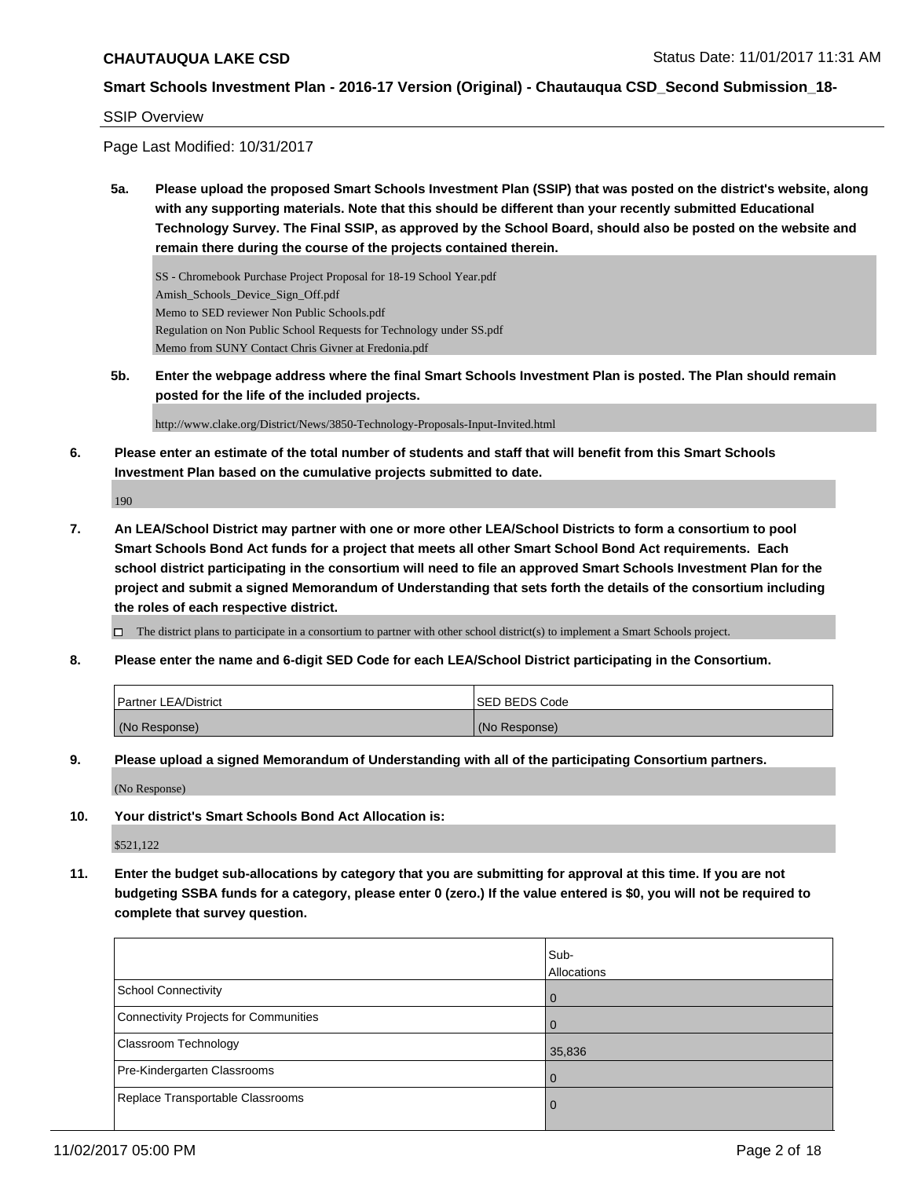#### SSIP Overview

Page Last Modified: 10/31/2017

**5a. Please upload the proposed Smart Schools Investment Plan (SSIP) that was posted on the district's website, along with any supporting materials. Note that this should be different than your recently submitted Educational Technology Survey. The Final SSIP, as approved by the School Board, should also be posted on the website and remain there during the course of the projects contained therein.**

SS - Chromebook Purchase Project Proposal for 18-19 School Year.pdf Amish\_Schools\_Device\_Sign\_Off.pdf Memo to SED reviewer Non Public Schools.pdf Regulation on Non Public School Requests for Technology under SS.pdf Memo from SUNY Contact Chris Givner at Fredonia.pdf

**5b. Enter the webpage address where the final Smart Schools Investment Plan is posted. The Plan should remain posted for the life of the included projects.**

http://www.clake.org/District/News/3850-Technology-Proposals-Input-Invited.html

**6. Please enter an estimate of the total number of students and staff that will benefit from this Smart Schools Investment Plan based on the cumulative projects submitted to date.**

190

**7. An LEA/School District may partner with one or more other LEA/School Districts to form a consortium to pool Smart Schools Bond Act funds for a project that meets all other Smart School Bond Act requirements. Each school district participating in the consortium will need to file an approved Smart Schools Investment Plan for the project and submit a signed Memorandum of Understanding that sets forth the details of the consortium including the roles of each respective district.**

 $\Box$  The district plans to participate in a consortium to partner with other school district(s) to implement a Smart Schools project.

**8. Please enter the name and 6-digit SED Code for each LEA/School District participating in the Consortium.**

| <b>Partner LEA/District</b> | ISED BEDS Code |
|-----------------------------|----------------|
| (No Response)               | (No Response)  |

**9. Please upload a signed Memorandum of Understanding with all of the participating Consortium partners.**

(No Response)

**10. Your district's Smart Schools Bond Act Allocation is:**

\$521,122

**11. Enter the budget sub-allocations by category that you are submitting for approval at this time. If you are not budgeting SSBA funds for a category, please enter 0 (zero.) If the value entered is \$0, you will not be required to complete that survey question.**

|                                              | Sub-<br>Allocations |
|----------------------------------------------|---------------------|
| <b>School Connectivity</b>                   | $\Omega$            |
| <b>Connectivity Projects for Communities</b> | $\Omega$            |
| Classroom Technology                         | 35,836              |
| Pre-Kindergarten Classrooms                  | 0                   |
| Replace Transportable Classrooms             | 0                   |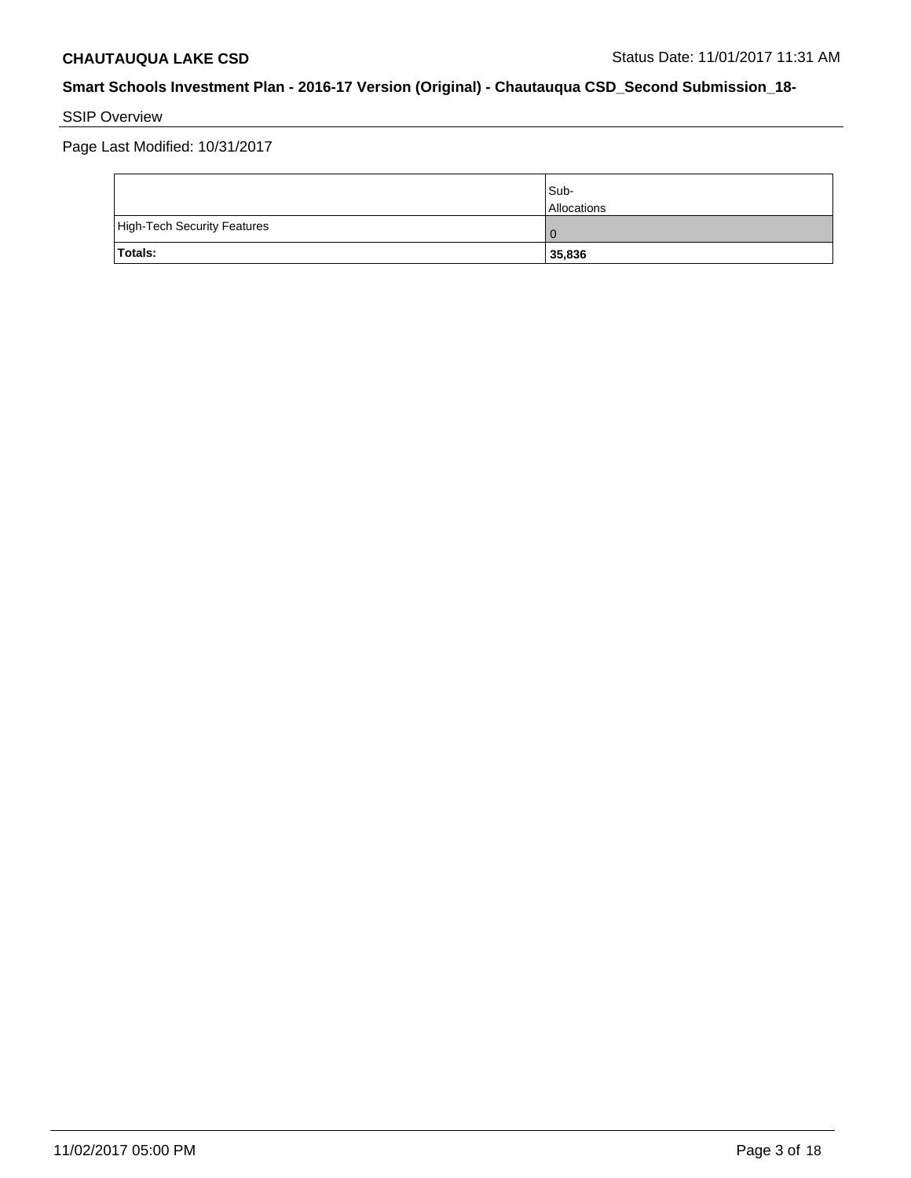# SSIP Overview

Page Last Modified: 10/31/2017

|                             | Sub-<br><b>Allocations</b> |
|-----------------------------|----------------------------|
| High-Tech Security Features | $\Omega$                   |
| Totals:                     | 35,836                     |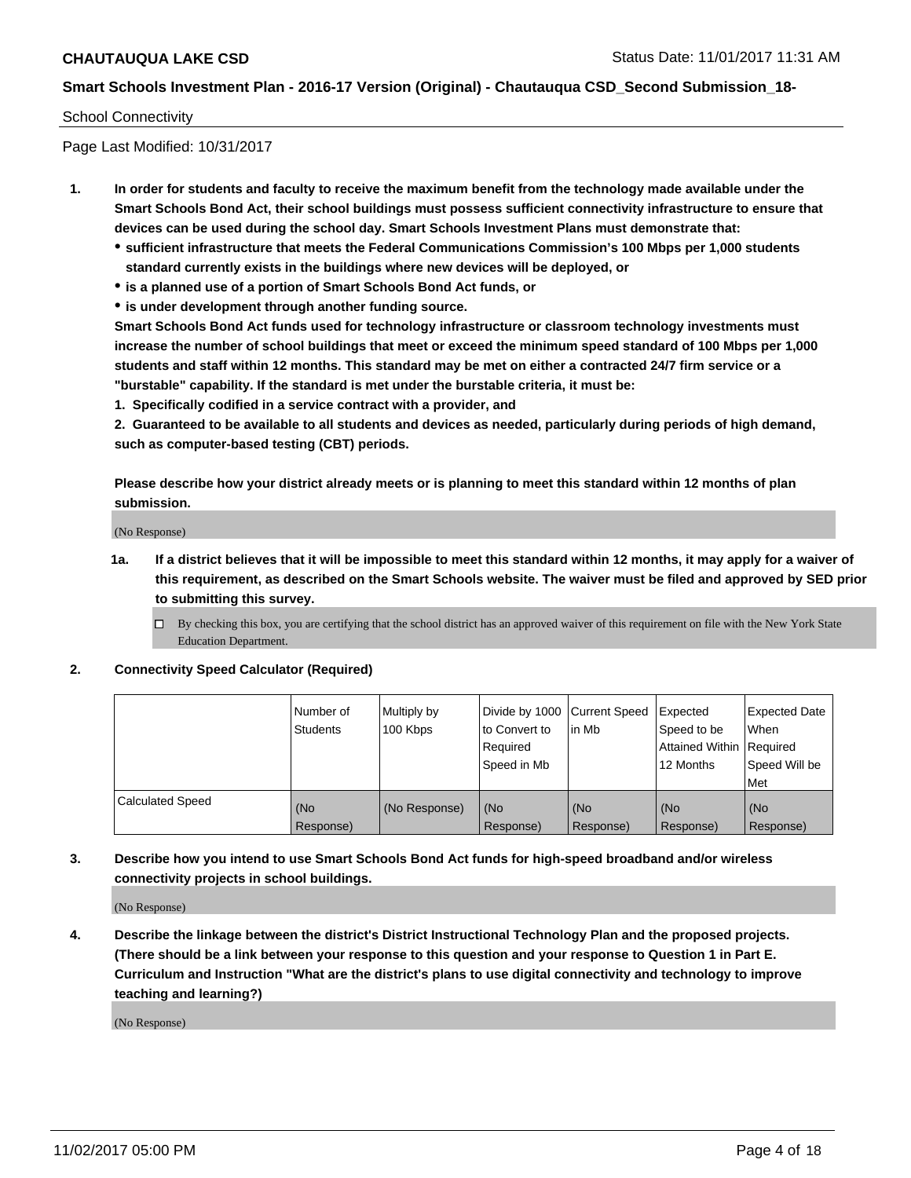### School Connectivity

Page Last Modified: 10/31/2017

- **1. In order for students and faculty to receive the maximum benefit from the technology made available under the Smart Schools Bond Act, their school buildings must possess sufficient connectivity infrastructure to ensure that devices can be used during the school day. Smart Schools Investment Plans must demonstrate that:**
	- **sufficient infrastructure that meets the Federal Communications Commission's 100 Mbps per 1,000 students standard currently exists in the buildings where new devices will be deployed, or**
	- **is a planned use of a portion of Smart Schools Bond Act funds, or**
	- **is under development through another funding source.**

**Smart Schools Bond Act funds used for technology infrastructure or classroom technology investments must increase the number of school buildings that meet or exceed the minimum speed standard of 100 Mbps per 1,000 students and staff within 12 months. This standard may be met on either a contracted 24/7 firm service or a "burstable" capability. If the standard is met under the burstable criteria, it must be:**

**1. Specifically codified in a service contract with a provider, and**

**2. Guaranteed to be available to all students and devices as needed, particularly during periods of high demand, such as computer-based testing (CBT) periods.**

**Please describe how your district already meets or is planning to meet this standard within 12 months of plan submission.**

(No Response)

**1a. If a district believes that it will be impossible to meet this standard within 12 months, it may apply for a waiver of this requirement, as described on the Smart Schools website. The waiver must be filed and approved by SED prior to submitting this survey.**

**2. Connectivity Speed Calculator (Required)**

|                         | Number of<br><b>Students</b> | Multiply by<br>100 Kbps | Divide by 1000   Current Speed<br>to Convert to<br>Required<br>Speed in Mb | lin Mb           | Expected<br>Speed to be<br><b>Attained Within Required</b><br>12 Months | <b>Expected Date</b><br>When<br>Speed Will be<br>Met |
|-------------------------|------------------------------|-------------------------|----------------------------------------------------------------------------|------------------|-------------------------------------------------------------------------|------------------------------------------------------|
| <b>Calculated Speed</b> | (No<br>Response)             | (No Response)           | (No<br>Response)                                                           | (No<br>Response) | (No<br>Response)                                                        | (No<br>Response)                                     |

**3. Describe how you intend to use Smart Schools Bond Act funds for high-speed broadband and/or wireless connectivity projects in school buildings.**

(No Response)

**4. Describe the linkage between the district's District Instructional Technology Plan and the proposed projects. (There should be a link between your response to this question and your response to Question 1 in Part E. Curriculum and Instruction "What are the district's plans to use digital connectivity and technology to improve teaching and learning?)**

(No Response)

 $\Box$  By checking this box, you are certifying that the school district has an approved waiver of this requirement on file with the New York State Education Department.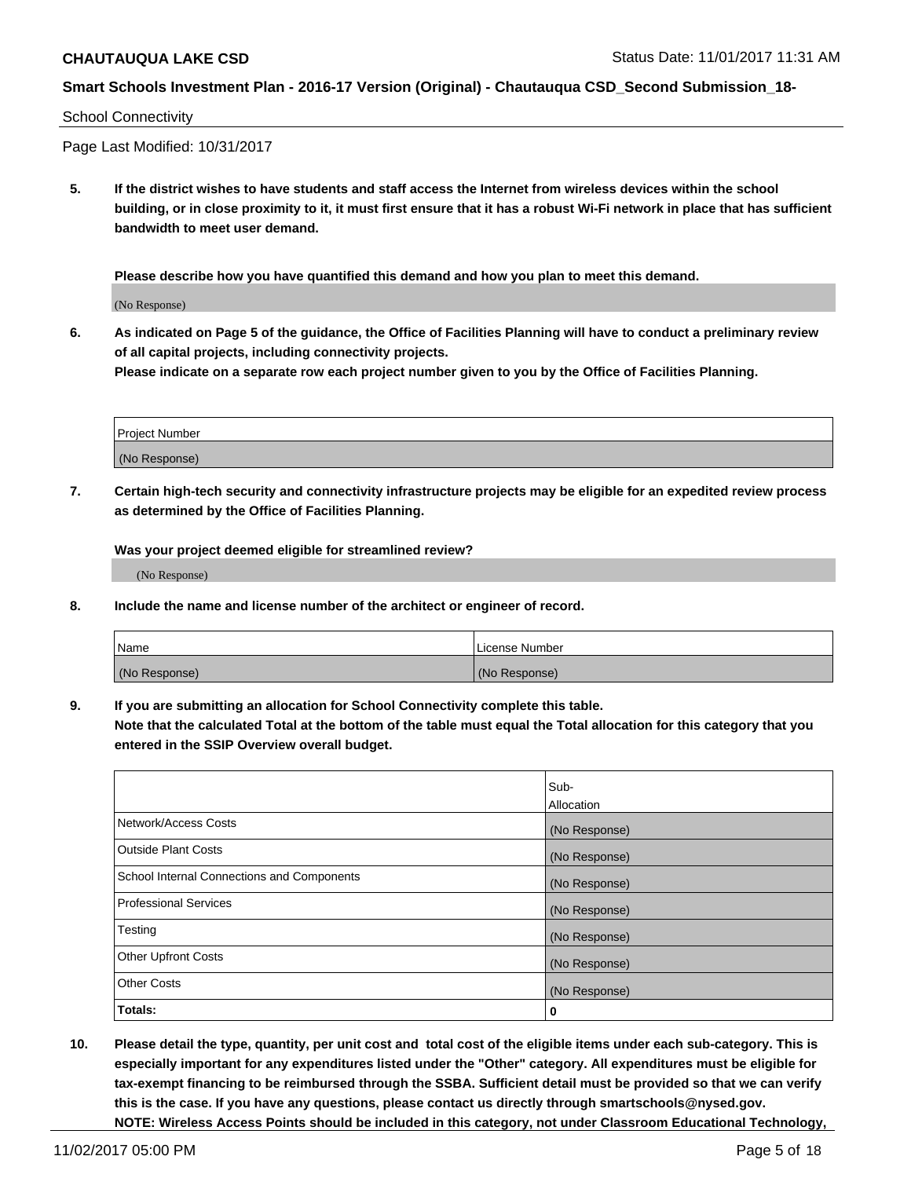# School Connectivity

Page Last Modified: 10/31/2017

**5. If the district wishes to have students and staff access the Internet from wireless devices within the school building, or in close proximity to it, it must first ensure that it has a robust Wi-Fi network in place that has sufficient bandwidth to meet user demand.**

**Please describe how you have quantified this demand and how you plan to meet this demand.**

(No Response)

**6. As indicated on Page 5 of the guidance, the Office of Facilities Planning will have to conduct a preliminary review of all capital projects, including connectivity projects.**

**Please indicate on a separate row each project number given to you by the Office of Facilities Planning.**

| Project Number |  |
|----------------|--|
|                |  |
| (No Response)  |  |

**7. Certain high-tech security and connectivity infrastructure projects may be eligible for an expedited review process as determined by the Office of Facilities Planning.**

**Was your project deemed eligible for streamlined review?**

(No Response)

**8. Include the name and license number of the architect or engineer of record.**

| Name          | License Number |
|---------------|----------------|
| (No Response) | (No Response)  |

**9. If you are submitting an allocation for School Connectivity complete this table.**

**Note that the calculated Total at the bottom of the table must equal the Total allocation for this category that you entered in the SSIP Overview overall budget.** 

|                                            | Sub-          |
|--------------------------------------------|---------------|
|                                            | Allocation    |
| Network/Access Costs                       | (No Response) |
| <b>Outside Plant Costs</b>                 | (No Response) |
| School Internal Connections and Components | (No Response) |
| <b>Professional Services</b>               | (No Response) |
| Testing                                    | (No Response) |
| <b>Other Upfront Costs</b>                 | (No Response) |
| <b>Other Costs</b>                         | (No Response) |
| Totals:                                    | 0             |

**10. Please detail the type, quantity, per unit cost and total cost of the eligible items under each sub-category. This is especially important for any expenditures listed under the "Other" category. All expenditures must be eligible for tax-exempt financing to be reimbursed through the SSBA. Sufficient detail must be provided so that we can verify this is the case. If you have any questions, please contact us directly through smartschools@nysed.gov. NOTE: Wireless Access Points should be included in this category, not under Classroom Educational Technology,**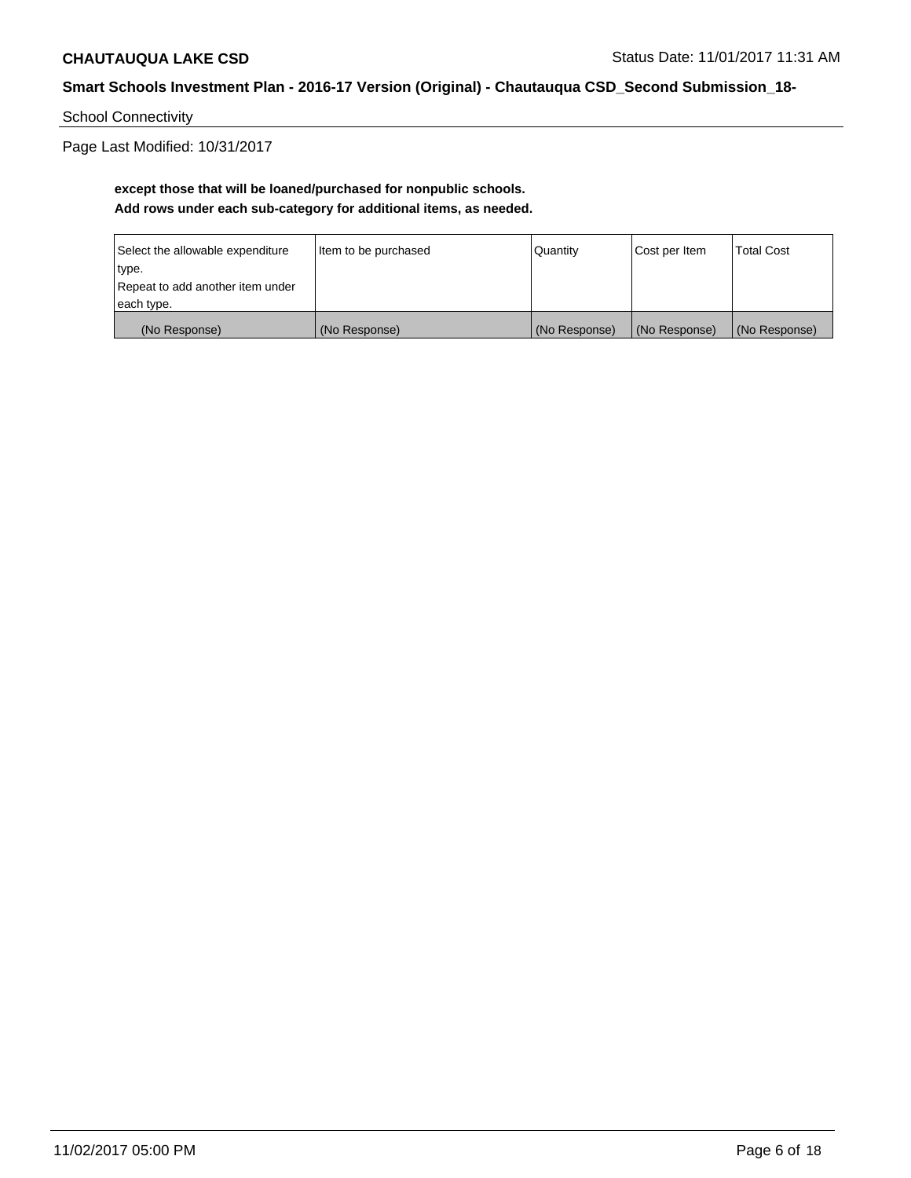School Connectivity

Page Last Modified: 10/31/2017

# **except those that will be loaned/purchased for nonpublic schools. Add rows under each sub-category for additional items, as needed.**

| Select the allowable expenditure | Item to be purchased | Quantity      | Cost per Item | <b>Total Cost</b> |
|----------------------------------|----------------------|---------------|---------------|-------------------|
| type.                            |                      |               |               |                   |
| Repeat to add another item under |                      |               |               |                   |
| each type.                       |                      |               |               |                   |
| (No Response)                    | (No Response)        | (No Response) | (No Response) | (No Response)     |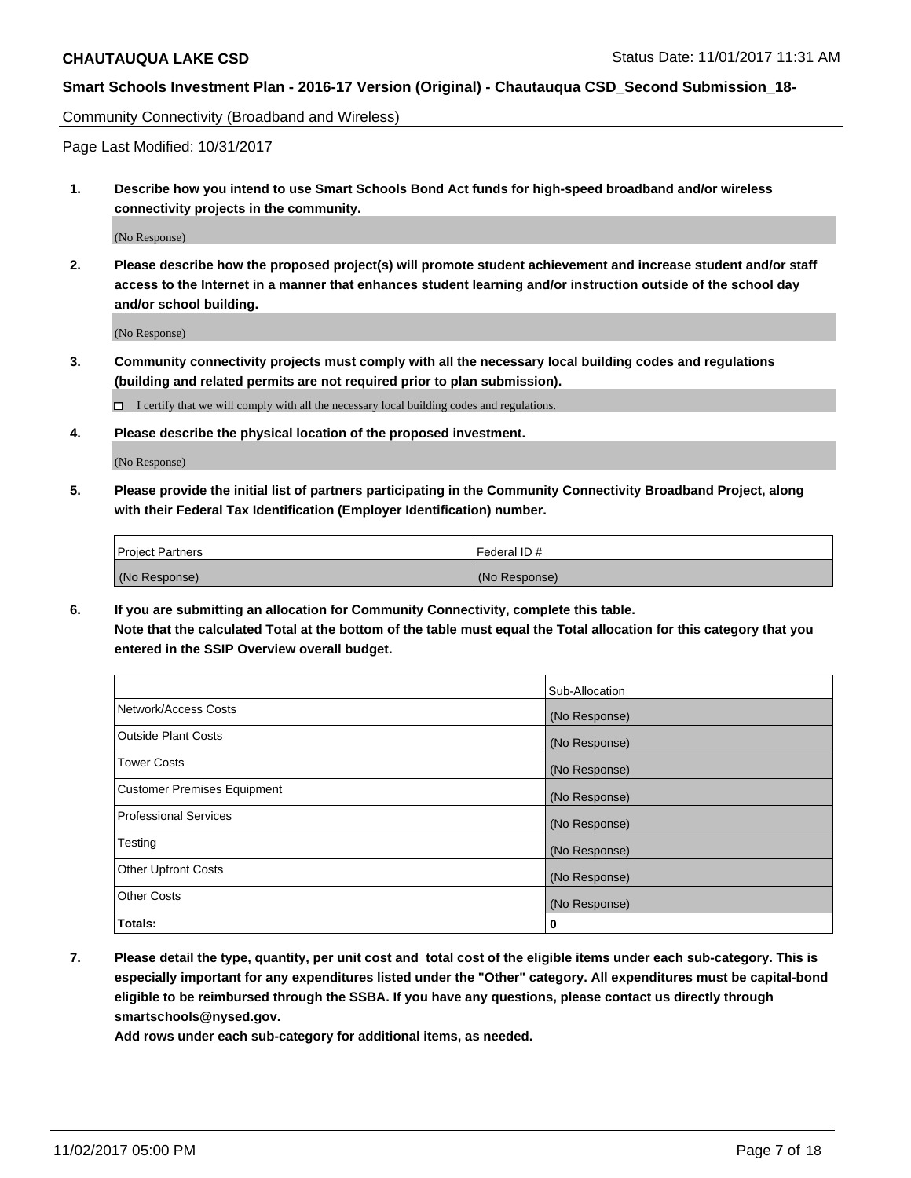Community Connectivity (Broadband and Wireless)

Page Last Modified: 10/31/2017

**1. Describe how you intend to use Smart Schools Bond Act funds for high-speed broadband and/or wireless connectivity projects in the community.**

(No Response)

**2. Please describe how the proposed project(s) will promote student achievement and increase student and/or staff access to the Internet in a manner that enhances student learning and/or instruction outside of the school day and/or school building.**

(No Response)

**3. Community connectivity projects must comply with all the necessary local building codes and regulations (building and related permits are not required prior to plan submission).**

 $\Box$  I certify that we will comply with all the necessary local building codes and regulations.

**4. Please describe the physical location of the proposed investment.**

(No Response)

**5. Please provide the initial list of partners participating in the Community Connectivity Broadband Project, along with their Federal Tax Identification (Employer Identification) number.**

| <b>Project Partners</b> | Federal ID #  |
|-------------------------|---------------|
| (No Response)           | (No Response) |

**6. If you are submitting an allocation for Community Connectivity, complete this table. Note that the calculated Total at the bottom of the table must equal the Total allocation for this category that you entered in the SSIP Overview overall budget.**

|                                    | Sub-Allocation |
|------------------------------------|----------------|
| Network/Access Costs               | (No Response)  |
| <b>Outside Plant Costs</b>         | (No Response)  |
| <b>Tower Costs</b>                 | (No Response)  |
| <b>Customer Premises Equipment</b> | (No Response)  |
| <b>Professional Services</b>       | (No Response)  |
| Testing                            | (No Response)  |
| <b>Other Upfront Costs</b>         | (No Response)  |
| <b>Other Costs</b>                 | (No Response)  |
| Totals:                            | 0              |

**7. Please detail the type, quantity, per unit cost and total cost of the eligible items under each sub-category. This is especially important for any expenditures listed under the "Other" category. All expenditures must be capital-bond eligible to be reimbursed through the SSBA. If you have any questions, please contact us directly through smartschools@nysed.gov.**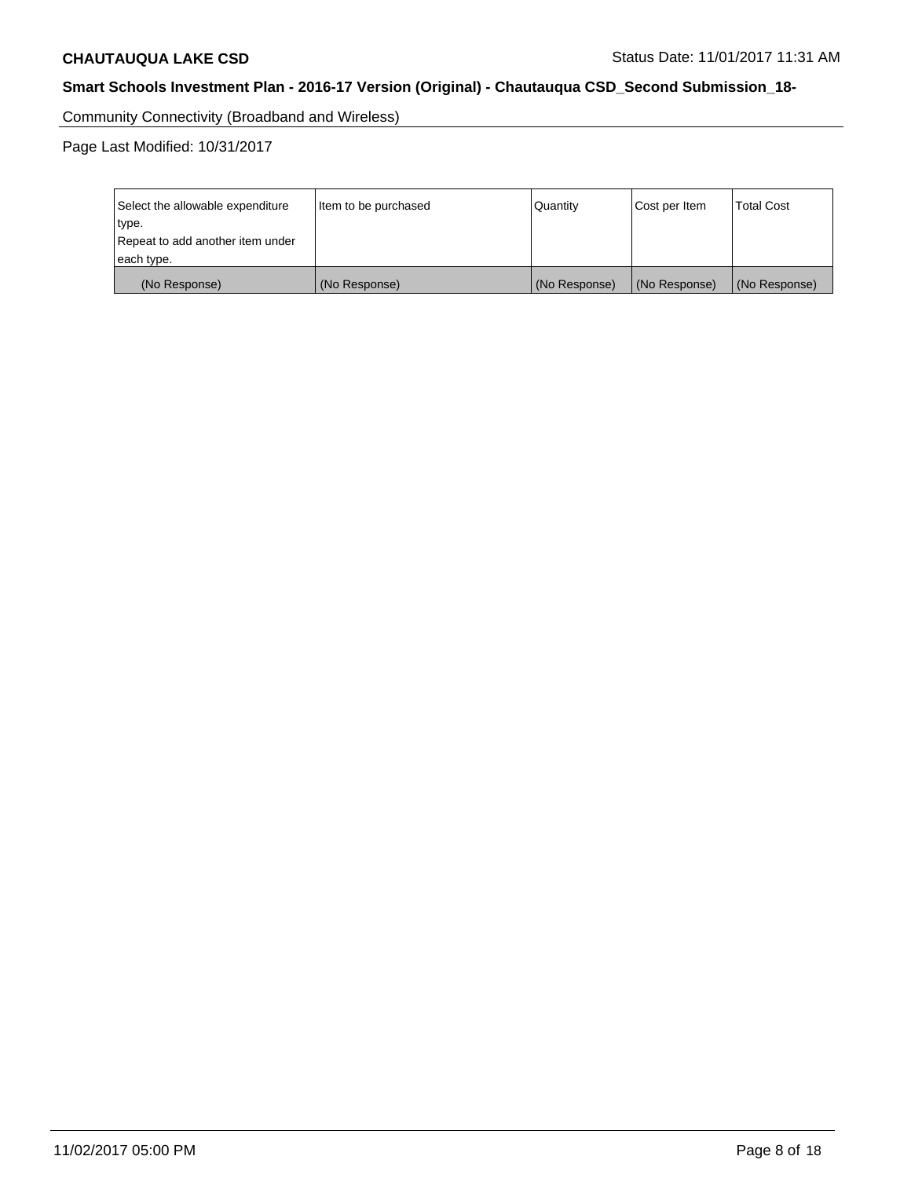Community Connectivity (Broadband and Wireless)

Page Last Modified: 10/31/2017

| Select the allowable expenditure<br>type.<br>Repeat to add another item under | Item to be purchased | Quantity      | Cost per Item | <b>Total Cost</b> |
|-------------------------------------------------------------------------------|----------------------|---------------|---------------|-------------------|
| each type.                                                                    |                      |               |               |                   |
| (No Response)                                                                 | (No Response)        | (No Response) | (No Response) | (No Response)     |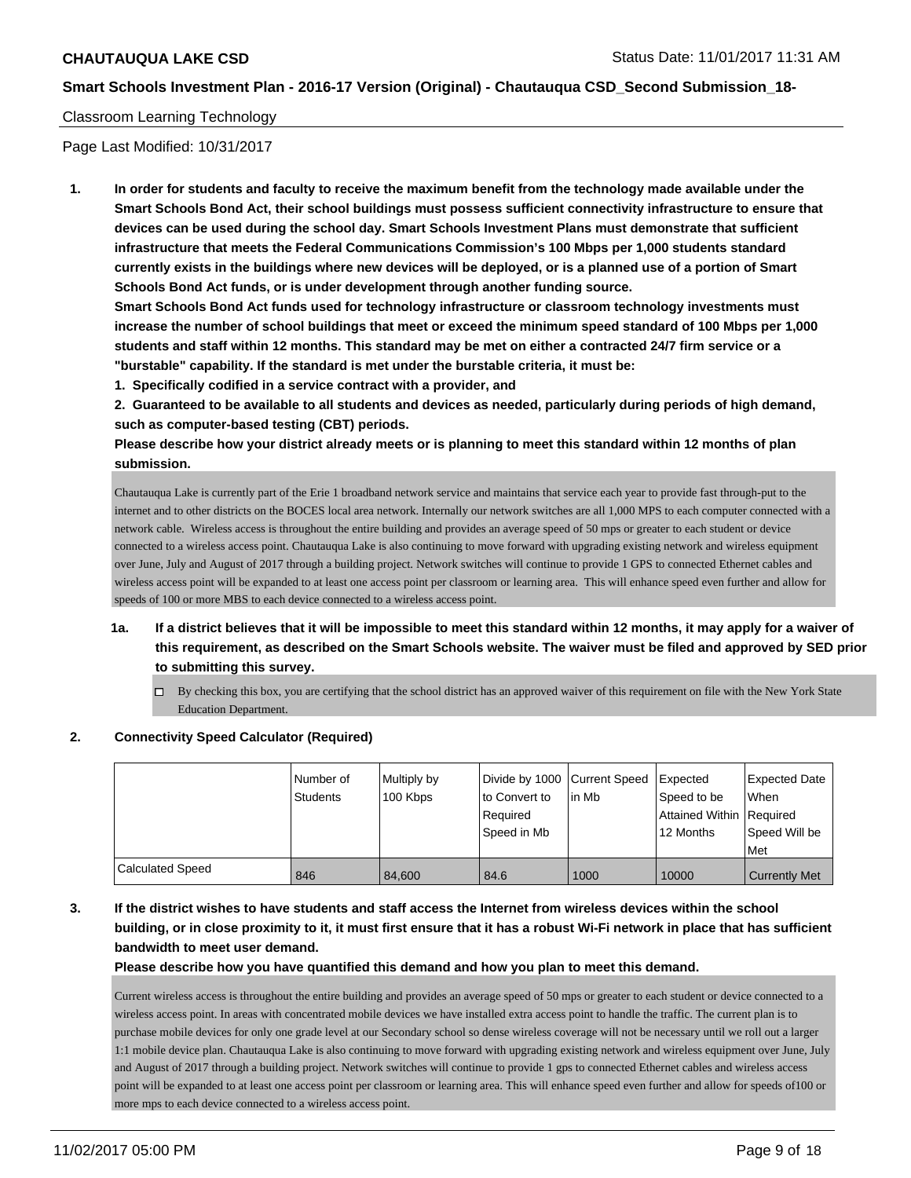### Classroom Learning Technology

Page Last Modified: 10/31/2017

**1. In order for students and faculty to receive the maximum benefit from the technology made available under the Smart Schools Bond Act, their school buildings must possess sufficient connectivity infrastructure to ensure that devices can be used during the school day. Smart Schools Investment Plans must demonstrate that sufficient infrastructure that meets the Federal Communications Commission's 100 Mbps per 1,000 students standard currently exists in the buildings where new devices will be deployed, or is a planned use of a portion of Smart Schools Bond Act funds, or is under development through another funding source.**

**Smart Schools Bond Act funds used for technology infrastructure or classroom technology investments must increase the number of school buildings that meet or exceed the minimum speed standard of 100 Mbps per 1,000 students and staff within 12 months. This standard may be met on either a contracted 24/7 firm service or a "burstable" capability. If the standard is met under the burstable criteria, it must be:**

**1. Specifically codified in a service contract with a provider, and**

**2. Guaranteed to be available to all students and devices as needed, particularly during periods of high demand, such as computer-based testing (CBT) periods.**

**Please describe how your district already meets or is planning to meet this standard within 12 months of plan submission.**

Chautauqua Lake is currently part of the Erie 1 broadband network service and maintains that service each year to provide fast through-put to the internet and to other districts on the BOCES local area network. Internally our network switches are all 1,000 MPS to each computer connected with a network cable. Wireless access is throughout the entire building and provides an average speed of 50 mps or greater to each student or device connected to a wireless access point. Chautauqua Lake is also continuing to move forward with upgrading existing network and wireless equipment over June, July and August of 2017 through a building project. Network switches will continue to provide 1 GPS to connected Ethernet cables and wireless access point will be expanded to at least one access point per classroom or learning area. This will enhance speed even further and allow for speeds of 100 or more MBS to each device connected to a wireless access point.

- **1a. If a district believes that it will be impossible to meet this standard within 12 months, it may apply for a waiver of this requirement, as described on the Smart Schools website. The waiver must be filed and approved by SED prior to submitting this survey.**
	- $\Box$  By checking this box, you are certifying that the school district has an approved waiver of this requirement on file with the New York State Education Department.

#### **2. Connectivity Speed Calculator (Required)**

|                         | Number of<br>Students | Multiply by<br>100 Kbps | Divide by 1000 Current Speed<br>to Convert to<br>Reauired<br>Speed in Mb | lin Mb | <b>Expected</b><br>Speed to be<br>Attained Within   Required<br>12 Months | <b>Expected Date</b><br>When<br>Speed Will be<br>Met |
|-------------------------|-----------------------|-------------------------|--------------------------------------------------------------------------|--------|---------------------------------------------------------------------------|------------------------------------------------------|
| <b>Calculated Speed</b> | 846                   | 84.600                  | 84.6                                                                     | 1000   | 10000                                                                     | <b>Currently Met</b>                                 |

**3. If the district wishes to have students and staff access the Internet from wireless devices within the school building, or in close proximity to it, it must first ensure that it has a robust Wi-Fi network in place that has sufficient bandwidth to meet user demand.**

**Please describe how you have quantified this demand and how you plan to meet this demand.**

Current wireless access is throughout the entire building and provides an average speed of 50 mps or greater to each student or device connected to a wireless access point. In areas with concentrated mobile devices we have installed extra access point to handle the traffic. The current plan is to purchase mobile devices for only one grade level at our Secondary school so dense wireless coverage will not be necessary until we roll out a larger 1:1 mobile device plan. Chautauqua Lake is also continuing to move forward with upgrading existing network and wireless equipment over June, July and August of 2017 through a building project. Network switches will continue to provide 1 gps to connected Ethernet cables and wireless access point will be expanded to at least one access point per classroom or learning area. This will enhance speed even further and allow for speeds of100 or more mps to each device connected to a wireless access point.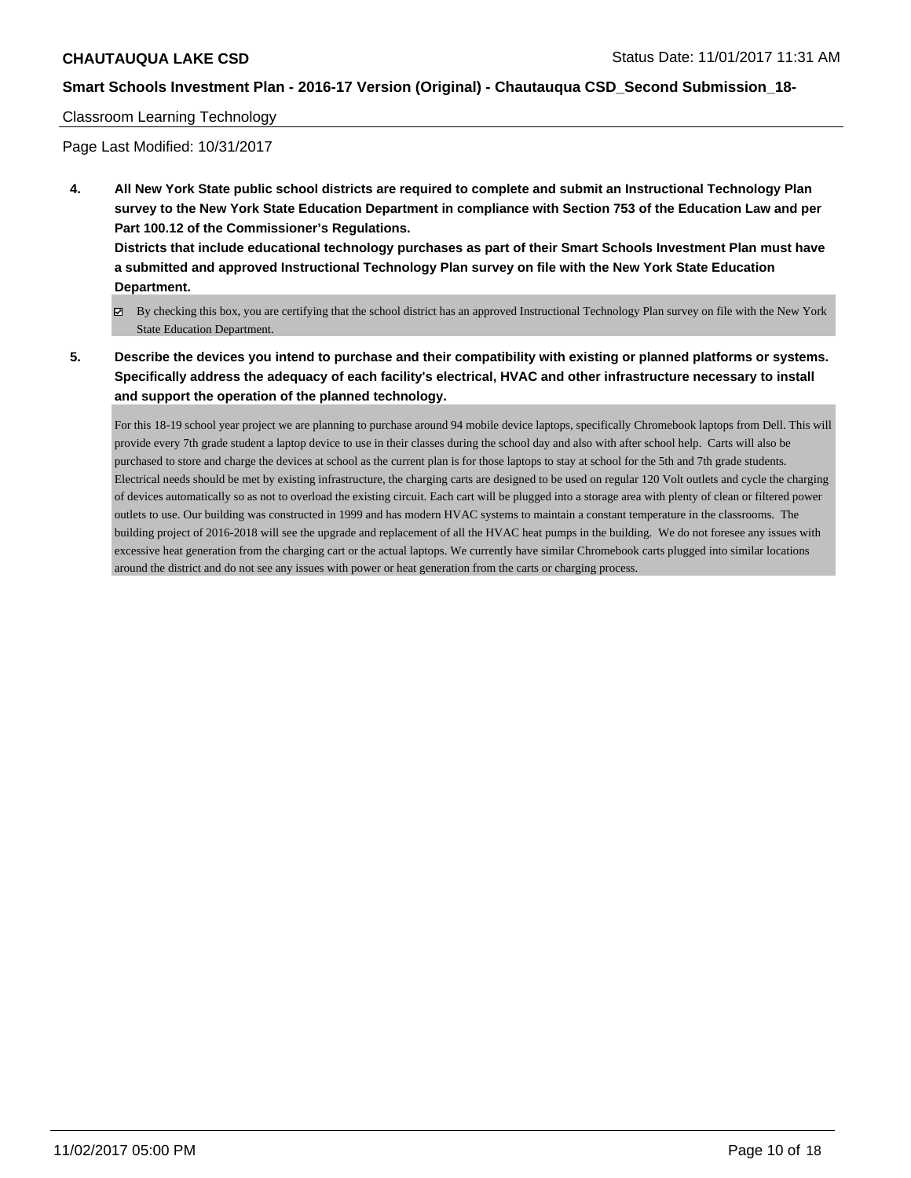### Classroom Learning Technology

Page Last Modified: 10/31/2017

**4. All New York State public school districts are required to complete and submit an Instructional Technology Plan survey to the New York State Education Department in compliance with Section 753 of the Education Law and per Part 100.12 of the Commissioner's Regulations.**

**Districts that include educational technology purchases as part of their Smart Schools Investment Plan must have a submitted and approved Instructional Technology Plan survey on file with the New York State Education Department.**

- By checking this box, you are certifying that the school district has an approved Instructional Technology Plan survey on file with the New York State Education Department.
- **5. Describe the devices you intend to purchase and their compatibility with existing or planned platforms or systems. Specifically address the adequacy of each facility's electrical, HVAC and other infrastructure necessary to install and support the operation of the planned technology.**

For this 18-19 school year project we are planning to purchase around 94 mobile device laptops, specifically Chromebook laptops from Dell. This will provide every 7th grade student a laptop device to use in their classes during the school day and also with after school help. Carts will also be purchased to store and charge the devices at school as the current plan is for those laptops to stay at school for the 5th and 7th grade students. Electrical needs should be met by existing infrastructure, the charging carts are designed to be used on regular 120 Volt outlets and cycle the charging of devices automatically so as not to overload the existing circuit. Each cart will be plugged into a storage area with plenty of clean or filtered power outlets to use. Our building was constructed in 1999 and has modern HVAC systems to maintain a constant temperature in the classrooms. The building project of 2016-2018 will see the upgrade and replacement of all the HVAC heat pumps in the building. We do not foresee any issues with excessive heat generation from the charging cart or the actual laptops. We currently have similar Chromebook carts plugged into similar locations around the district and do not see any issues with power or heat generation from the carts or charging process.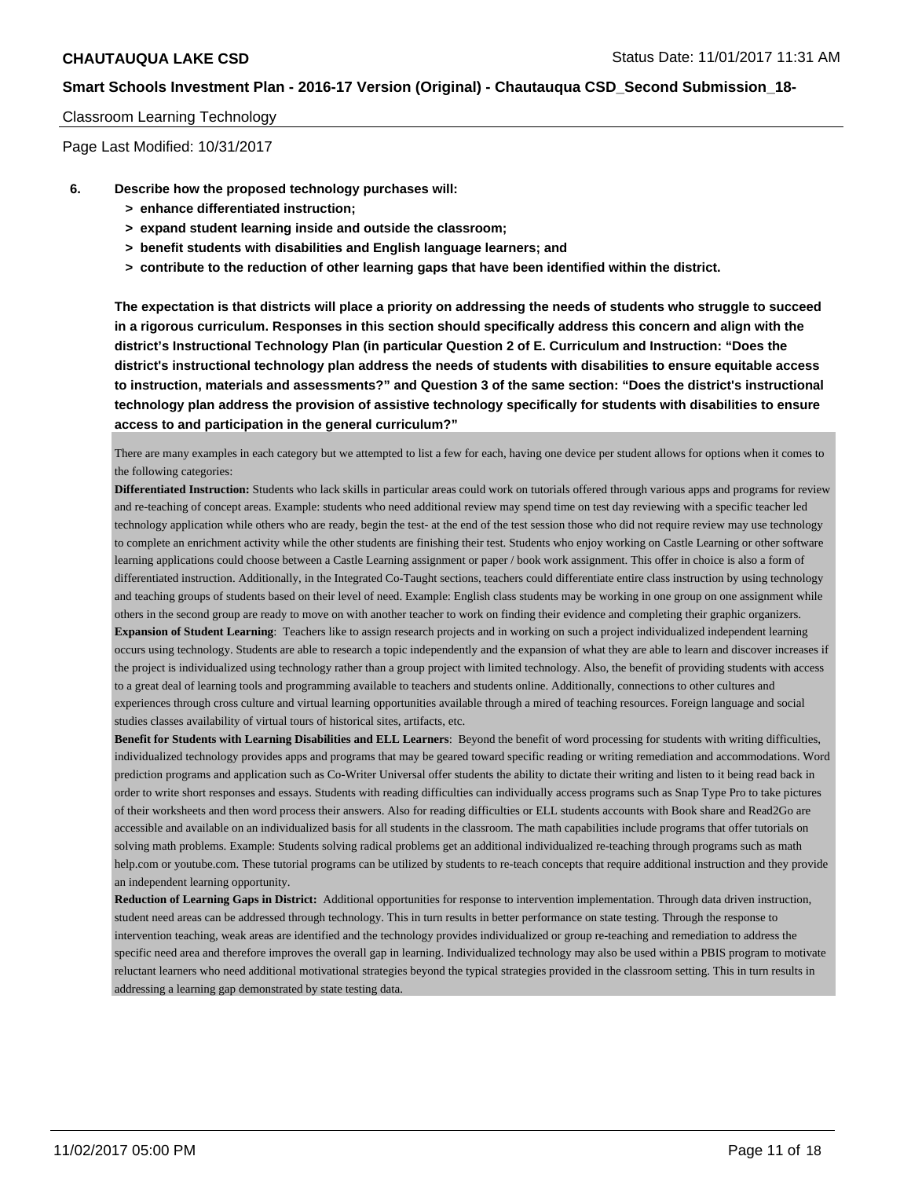### Classroom Learning Technology

Page Last Modified: 10/31/2017

- **6. Describe how the proposed technology purchases will:**
	- **> enhance differentiated instruction;**
	- **> expand student learning inside and outside the classroom;**
	- **> benefit students with disabilities and English language learners; and**
	- **> contribute to the reduction of other learning gaps that have been identified within the district.**

**The expectation is that districts will place a priority on addressing the needs of students who struggle to succeed in a rigorous curriculum. Responses in this section should specifically address this concern and align with the district's Instructional Technology Plan (in particular Question 2 of E. Curriculum and Instruction: "Does the district's instructional technology plan address the needs of students with disabilities to ensure equitable access to instruction, materials and assessments?" and Question 3 of the same section: "Does the district's instructional technology plan address the provision of assistive technology specifically for students with disabilities to ensure access to and participation in the general curriculum?"**

There are many examples in each category but we attempted to list a few for each, having one device per student allows for options when it comes to the following categories:

**Differentiated Instruction:** Students who lack skills in particular areas could work on tutorials offered through various apps and programs for review and re-teaching of concept areas. Example: students who need additional review may spend time on test day reviewing with a specific teacher led technology application while others who are ready, begin the test- at the end of the test session those who did not require review may use technology to complete an enrichment activity while the other students are finishing their test. Students who enjoy working on Castle Learning or other software learning applications could choose between a Castle Learning assignment or paper / book work assignment. This offer in choice is also a form of differentiated instruction. Additionally, in the Integrated Co-Taught sections, teachers could differentiate entire class instruction by using technology and teaching groups of students based on their level of need. Example: English class students may be working in one group on one assignment while others in the second group are ready to move on with another teacher to work on finding their evidence and completing their graphic organizers. **Expansion of Student Learning**: Teachers like to assign research projects and in working on such a project individualized independent learning occurs using technology. Students are able to research a topic independently and the expansion of what they are able to learn and discover increases if the project is individualized using technology rather than a group project with limited technology. Also, the benefit of providing students with access to a great deal of learning tools and programming available to teachers and students online. Additionally, connections to other cultures and experiences through cross culture and virtual learning opportunities available through a mired of teaching resources. Foreign language and social studies classes availability of virtual tours of historical sites, artifacts, etc.

**Benefit for Students with Learning Disabilities and ELL Learners**: Beyond the benefit of word processing for students with writing difficulties, individualized technology provides apps and programs that may be geared toward specific reading or writing remediation and accommodations. Word prediction programs and application such as Co-Writer Universal offer students the ability to dictate their writing and listen to it being read back in order to write short responses and essays. Students with reading difficulties can individually access programs such as Snap Type Pro to take pictures of their worksheets and then word process their answers. Also for reading difficulties or ELL students accounts with Book share and Read2Go are accessible and available on an individualized basis for all students in the classroom. The math capabilities include programs that offer tutorials on solving math problems. Example: Students solving radical problems get an additional individualized re-teaching through programs such as math help.com or youtube.com. These tutorial programs can be utilized by students to re-teach concepts that require additional instruction and they provide an independent learning opportunity.

**Reduction of Learning Gaps in District:** Additional opportunities for response to intervention implementation. Through data driven instruction, student need areas can be addressed through technology. This in turn results in better performance on state testing. Through the response to intervention teaching, weak areas are identified and the technology provides individualized or group re-teaching and remediation to address the specific need area and therefore improves the overall gap in learning. Individualized technology may also be used within a PBIS program to motivate reluctant learners who need additional motivational strategies beyond the typical strategies provided in the classroom setting. This in turn results in addressing a learning gap demonstrated by state testing data.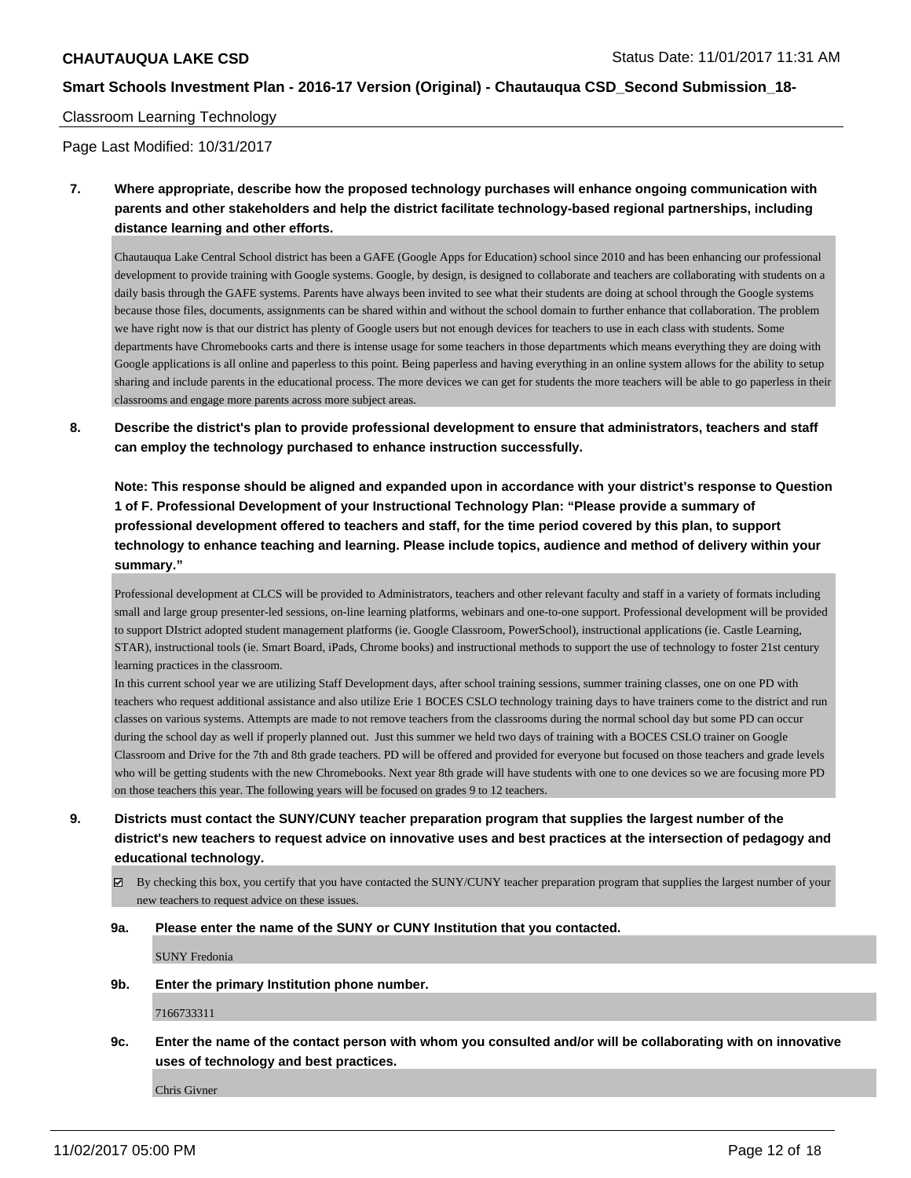### Classroom Learning Technology

Page Last Modified: 10/31/2017

**7. Where appropriate, describe how the proposed technology purchases will enhance ongoing communication with parents and other stakeholders and help the district facilitate technology-based regional partnerships, including distance learning and other efforts.**

Chautauqua Lake Central School district has been a GAFE (Google Apps for Education) school since 2010 and has been enhancing our professional development to provide training with Google systems. Google, by design, is designed to collaborate and teachers are collaborating with students on a daily basis through the GAFE systems. Parents have always been invited to see what their students are doing at school through the Google systems because those files, documents, assignments can be shared within and without the school domain to further enhance that collaboration. The problem we have right now is that our district has plenty of Google users but not enough devices for teachers to use in each class with students. Some departments have Chromebooks carts and there is intense usage for some teachers in those departments which means everything they are doing with Google applications is all online and paperless to this point. Being paperless and having everything in an online system allows for the ability to setup sharing and include parents in the educational process. The more devices we can get for students the more teachers will be able to go paperless in their classrooms and engage more parents across more subject areas.

**8. Describe the district's plan to provide professional development to ensure that administrators, teachers and staff can employ the technology purchased to enhance instruction successfully.**

**Note: This response should be aligned and expanded upon in accordance with your district's response to Question 1 of F. Professional Development of your Instructional Technology Plan: "Please provide a summary of professional development offered to teachers and staff, for the time period covered by this plan, to support technology to enhance teaching and learning. Please include topics, audience and method of delivery within your summary."**

Professional development at CLCS will be provided to Administrators, teachers and other relevant faculty and staff in a variety of formats including small and large group presenter-led sessions, on-line learning platforms, webinars and one-to-one support. Professional development will be provided to support DIstrict adopted student management platforms (ie. Google Classroom, PowerSchool), instructional applications (ie. Castle Learning, STAR), instructional tools (ie. Smart Board, iPads, Chrome books) and instructional methods to support the use of technology to foster 21st century learning practices in the classroom.

In this current school year we are utilizing Staff Development days, after school training sessions, summer training classes, one on one PD with teachers who request additional assistance and also utilize Erie 1 BOCES CSLO technology training days to have trainers come to the district and run classes on various systems. Attempts are made to not remove teachers from the classrooms during the normal school day but some PD can occur during the school day as well if properly planned out. Just this summer we held two days of training with a BOCES CSLO trainer on Google Classroom and Drive for the 7th and 8th grade teachers. PD will be offered and provided for everyone but focused on those teachers and grade levels who will be getting students with the new Chromebooks. Next year 8th grade will have students with one to one devices so we are focusing more PD on those teachers this year. The following years will be focused on grades 9 to 12 teachers.

- **9. Districts must contact the SUNY/CUNY teacher preparation program that supplies the largest number of the district's new teachers to request advice on innovative uses and best practices at the intersection of pedagogy and educational technology.**
	- $\boxtimes$  By checking this box, you certify that you have contacted the SUNY/CUNY teacher preparation program that supplies the largest number of your new teachers to request advice on these issues.

#### **9a. Please enter the name of the SUNY or CUNY Institution that you contacted.**

SUNY Fredonia

**9b. Enter the primary Institution phone number.**

7166733311

**9c. Enter the name of the contact person with whom you consulted and/or will be collaborating with on innovative uses of technology and best practices.**

Chris Givner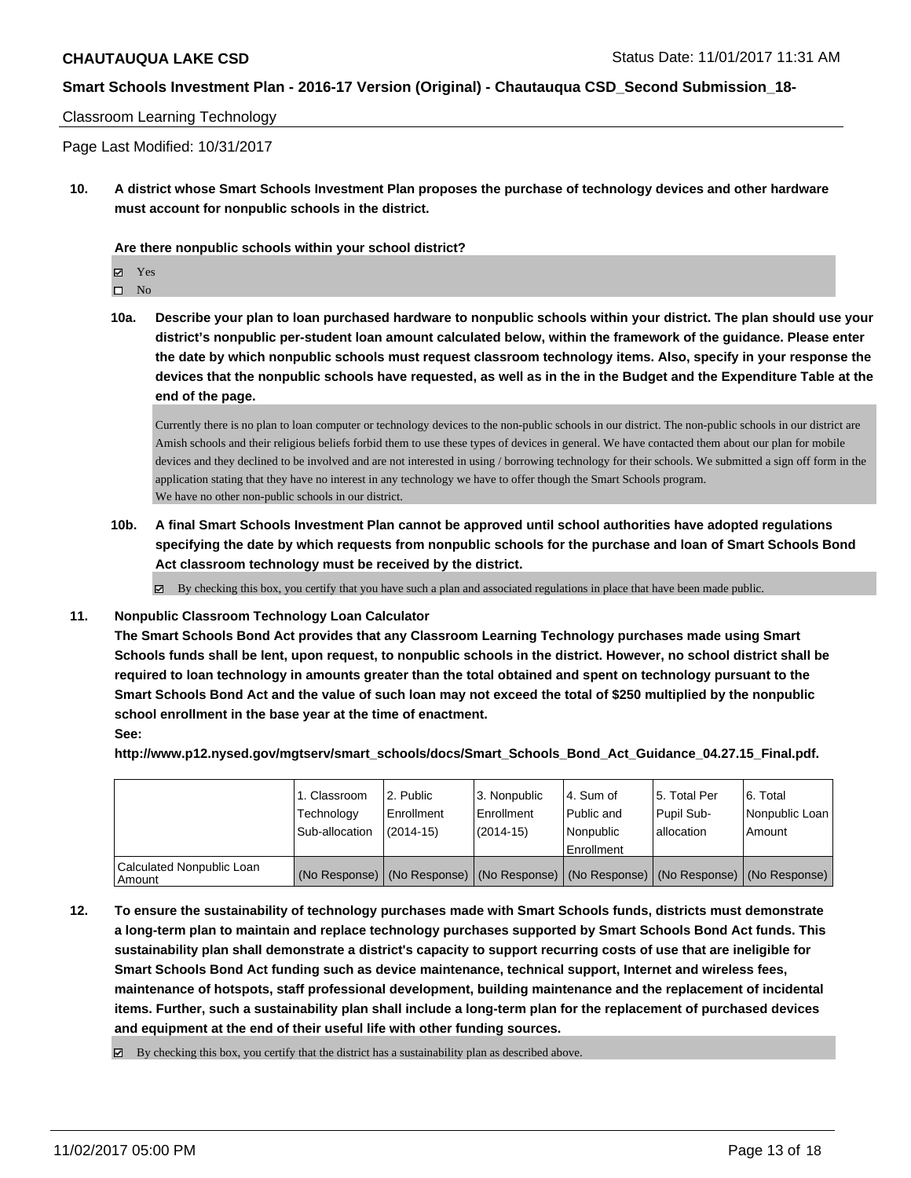### Classroom Learning Technology

Page Last Modified: 10/31/2017

**10. A district whose Smart Schools Investment Plan proposes the purchase of technology devices and other hardware must account for nonpublic schools in the district.**

**Are there nonpublic schools within your school district?**

Yes

 $\hfill \square$  No

**10a. Describe your plan to loan purchased hardware to nonpublic schools within your district. The plan should use your district's nonpublic per-student loan amount calculated below, within the framework of the guidance. Please enter the date by which nonpublic schools must request classroom technology items. Also, specify in your response the devices that the nonpublic schools have requested, as well as in the in the Budget and the Expenditure Table at the end of the page.**

Currently there is no plan to loan computer or technology devices to the non-public schools in our district. The non-public schools in our district are Amish schools and their religious beliefs forbid them to use these types of devices in general. We have contacted them about our plan for mobile devices and they declined to be involved and are not interested in using / borrowing technology for their schools. We submitted a sign off form in the application stating that they have no interest in any technology we have to offer though the Smart Schools program. We have no other non-public schools in our district.

**10b. A final Smart Schools Investment Plan cannot be approved until school authorities have adopted regulations specifying the date by which requests from nonpublic schools for the purchase and loan of Smart Schools Bond Act classroom technology must be received by the district.**

 $\boxtimes$  By checking this box, you certify that you have such a plan and associated regulations in place that have been made public.

#### **11. Nonpublic Classroom Technology Loan Calculator**

**The Smart Schools Bond Act provides that any Classroom Learning Technology purchases made using Smart Schools funds shall be lent, upon request, to nonpublic schools in the district. However, no school district shall be required to loan technology in amounts greater than the total obtained and spent on technology pursuant to the Smart Schools Bond Act and the value of such loan may not exceed the total of \$250 multiplied by the nonpublic school enrollment in the base year at the time of enactment. See:**

**http://www.p12.nysed.gov/mgtserv/smart\_schools/docs/Smart\_Schools\_Bond\_Act\_Guidance\_04.27.15\_Final.pdf.**

|                                       | 1. Classroom<br>Technology<br>Sub-allocation | 2. Public<br>l Enrollment<br>$(2014 - 15)$ | l 3. Nonpublic<br>l Enrollment<br>$(2014 - 15)$ | l 4. Sum of<br>Public and<br>l Nonpublic<br>Enrollment                                        | 15. Total Per<br>Pupil Sub-<br>lallocation | l 6. Total<br>Nonpublic Loan<br>Amount |
|---------------------------------------|----------------------------------------------|--------------------------------------------|-------------------------------------------------|-----------------------------------------------------------------------------------------------|--------------------------------------------|----------------------------------------|
| Calculated Nonpublic Loan<br>l Amount |                                              |                                            |                                                 | (No Response)   (No Response)   (No Response)   (No Response)   (No Response)   (No Response) |                                            |                                        |

**12. To ensure the sustainability of technology purchases made with Smart Schools funds, districts must demonstrate a long-term plan to maintain and replace technology purchases supported by Smart Schools Bond Act funds. This sustainability plan shall demonstrate a district's capacity to support recurring costs of use that are ineligible for Smart Schools Bond Act funding such as device maintenance, technical support, Internet and wireless fees, maintenance of hotspots, staff professional development, building maintenance and the replacement of incidental items. Further, such a sustainability plan shall include a long-term plan for the replacement of purchased devices and equipment at the end of their useful life with other funding sources.**

 $\boxtimes$  By checking this box, you certify that the district has a sustainability plan as described above.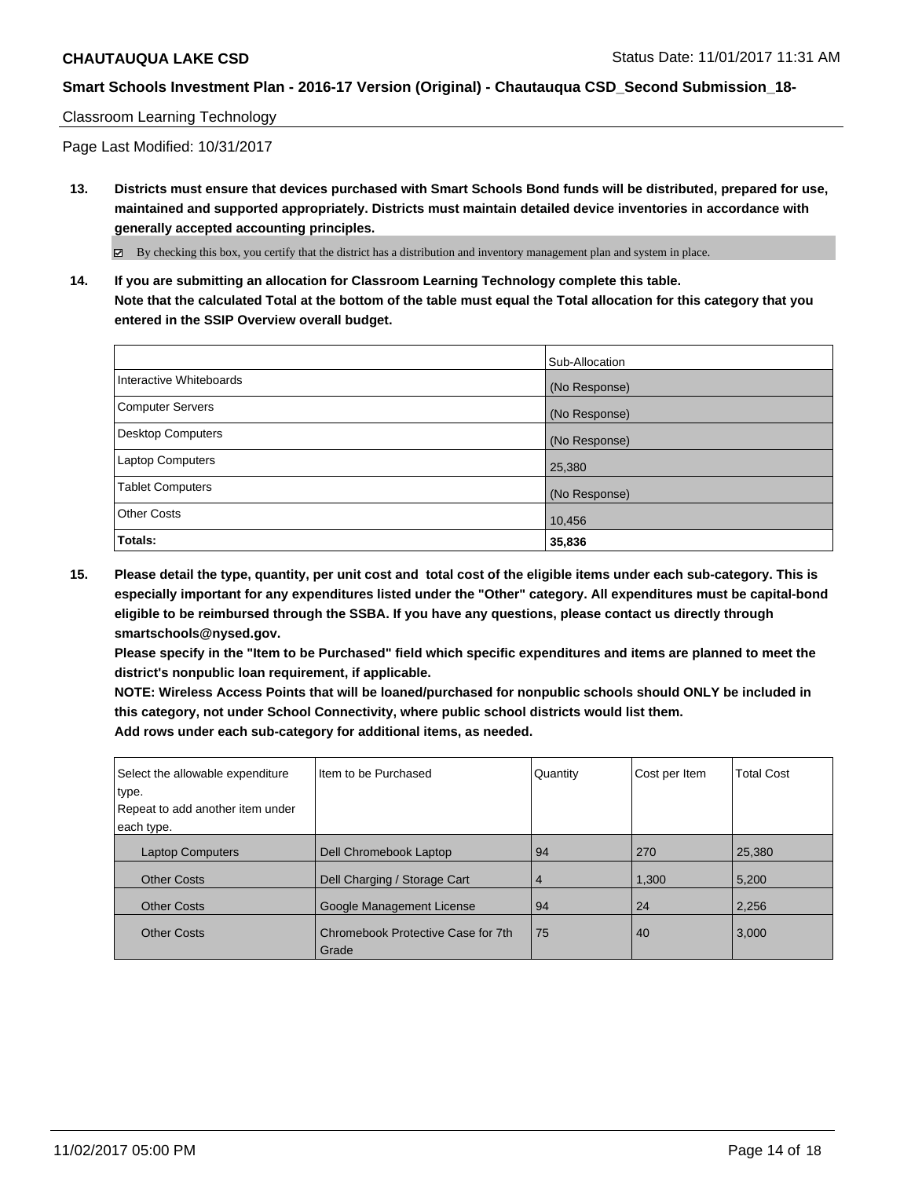### Classroom Learning Technology

Page Last Modified: 10/31/2017

**13. Districts must ensure that devices purchased with Smart Schools Bond funds will be distributed, prepared for use, maintained and supported appropriately. Districts must maintain detailed device inventories in accordance with generally accepted accounting principles.**

By checking this box, you certify that the district has a distribution and inventory management plan and system in place.

**14. If you are submitting an allocation for Classroom Learning Technology complete this table. Note that the calculated Total at the bottom of the table must equal the Total allocation for this category that you entered in the SSIP Overview overall budget.**

|                          | Sub-Allocation |
|--------------------------|----------------|
| Interactive Whiteboards  | (No Response)  |
| Computer Servers         | (No Response)  |
| <b>Desktop Computers</b> | (No Response)  |
| Laptop Computers         | 25,380         |
| <b>Tablet Computers</b>  | (No Response)  |
| <b>Other Costs</b>       | 10,456         |
| Totals:                  | 35,836         |

**15. Please detail the type, quantity, per unit cost and total cost of the eligible items under each sub-category. This is especially important for any expenditures listed under the "Other" category. All expenditures must be capital-bond eligible to be reimbursed through the SSBA. If you have any questions, please contact us directly through smartschools@nysed.gov.**

**Please specify in the "Item to be Purchased" field which specific expenditures and items are planned to meet the district's nonpublic loan requirement, if applicable.**

**NOTE: Wireless Access Points that will be loaned/purchased for nonpublic schools should ONLY be included in this category, not under School Connectivity, where public school districts would list them. Add rows under each sub-category for additional items, as needed.**

| Select the allowable expenditure<br>type. | I Item to be Purchased                      | Quantity | Cost per Item | <b>Total Cost</b> |
|-------------------------------------------|---------------------------------------------|----------|---------------|-------------------|
| Repeat to add another item under          |                                             |          |               |                   |
| each type.                                |                                             |          |               |                   |
| <b>Laptop Computers</b>                   | Dell Chromebook Laptop                      | 94       | 270           | 25,380            |
| <b>Other Costs</b>                        | Dell Charging / Storage Cart                | 4        | 1,300         | 5,200             |
| <b>Other Costs</b>                        | Google Management License                   | 94       | 24            | 2,256             |
| <b>Other Costs</b>                        | Chromebook Protective Case for 7th<br>Grade | 75       | 40            | 3,000             |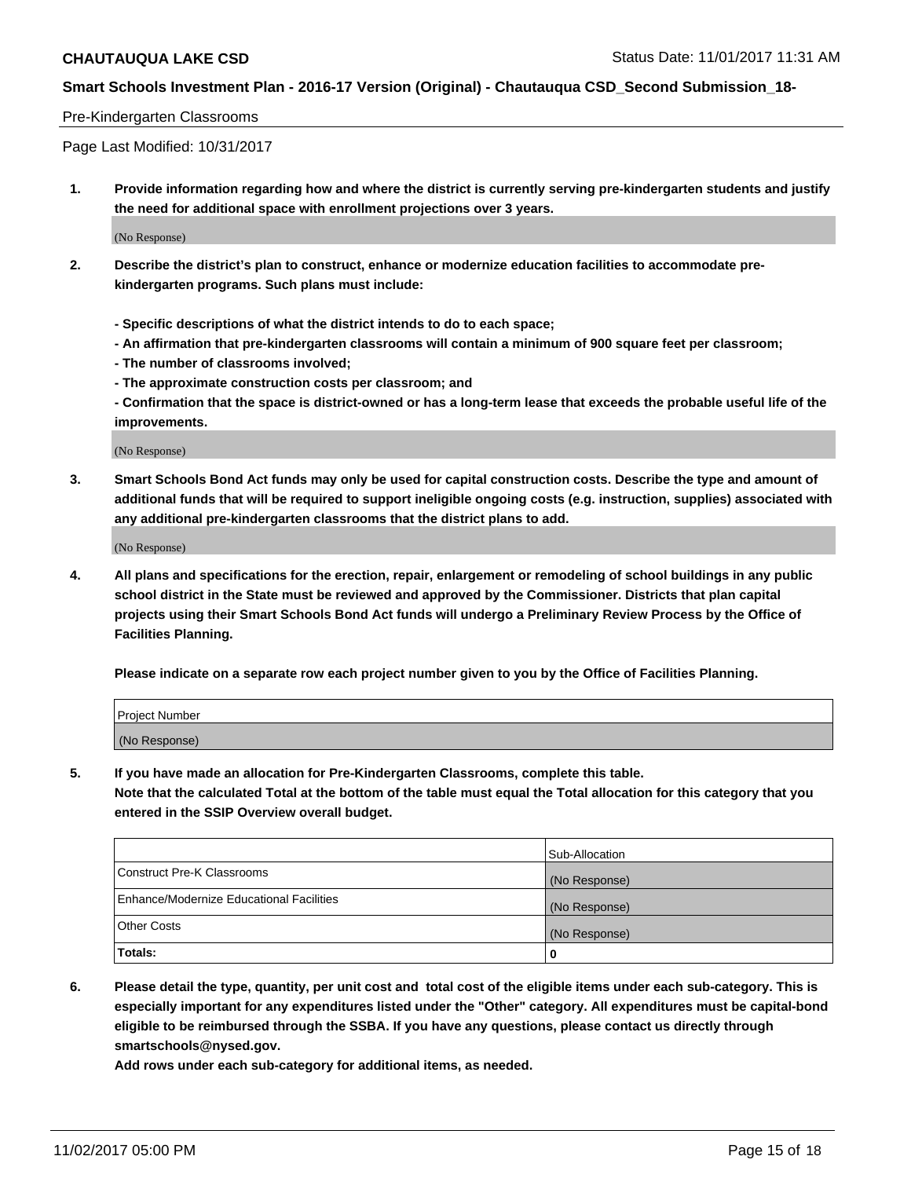### Pre-Kindergarten Classrooms

Page Last Modified: 10/31/2017

**1. Provide information regarding how and where the district is currently serving pre-kindergarten students and justify the need for additional space with enrollment projections over 3 years.**

(No Response)

- **2. Describe the district's plan to construct, enhance or modernize education facilities to accommodate prekindergarten programs. Such plans must include:**
	- **Specific descriptions of what the district intends to do to each space;**
	- **An affirmation that pre-kindergarten classrooms will contain a minimum of 900 square feet per classroom;**
	- **The number of classrooms involved;**
	- **The approximate construction costs per classroom; and**
	- **Confirmation that the space is district-owned or has a long-term lease that exceeds the probable useful life of the improvements.**

(No Response)

**3. Smart Schools Bond Act funds may only be used for capital construction costs. Describe the type and amount of additional funds that will be required to support ineligible ongoing costs (e.g. instruction, supplies) associated with any additional pre-kindergarten classrooms that the district plans to add.**

(No Response)

**4. All plans and specifications for the erection, repair, enlargement or remodeling of school buildings in any public school district in the State must be reviewed and approved by the Commissioner. Districts that plan capital projects using their Smart Schools Bond Act funds will undergo a Preliminary Review Process by the Office of Facilities Planning.**

**Please indicate on a separate row each project number given to you by the Office of Facilities Planning.**

| Project Number |  |
|----------------|--|
| (No Response)  |  |

**5. If you have made an allocation for Pre-Kindergarten Classrooms, complete this table.**

**Note that the calculated Total at the bottom of the table must equal the Total allocation for this category that you entered in the SSIP Overview overall budget.**

|                                          | Sub-Allocation |
|------------------------------------------|----------------|
| Construct Pre-K Classrooms               | (No Response)  |
| Enhance/Modernize Educational Facilities | (No Response)  |
| <b>Other Costs</b>                       | (No Response)  |
| <b>Totals:</b>                           | 0              |

**6. Please detail the type, quantity, per unit cost and total cost of the eligible items under each sub-category. This is especially important for any expenditures listed under the "Other" category. All expenditures must be capital-bond eligible to be reimbursed through the SSBA. If you have any questions, please contact us directly through smartschools@nysed.gov.**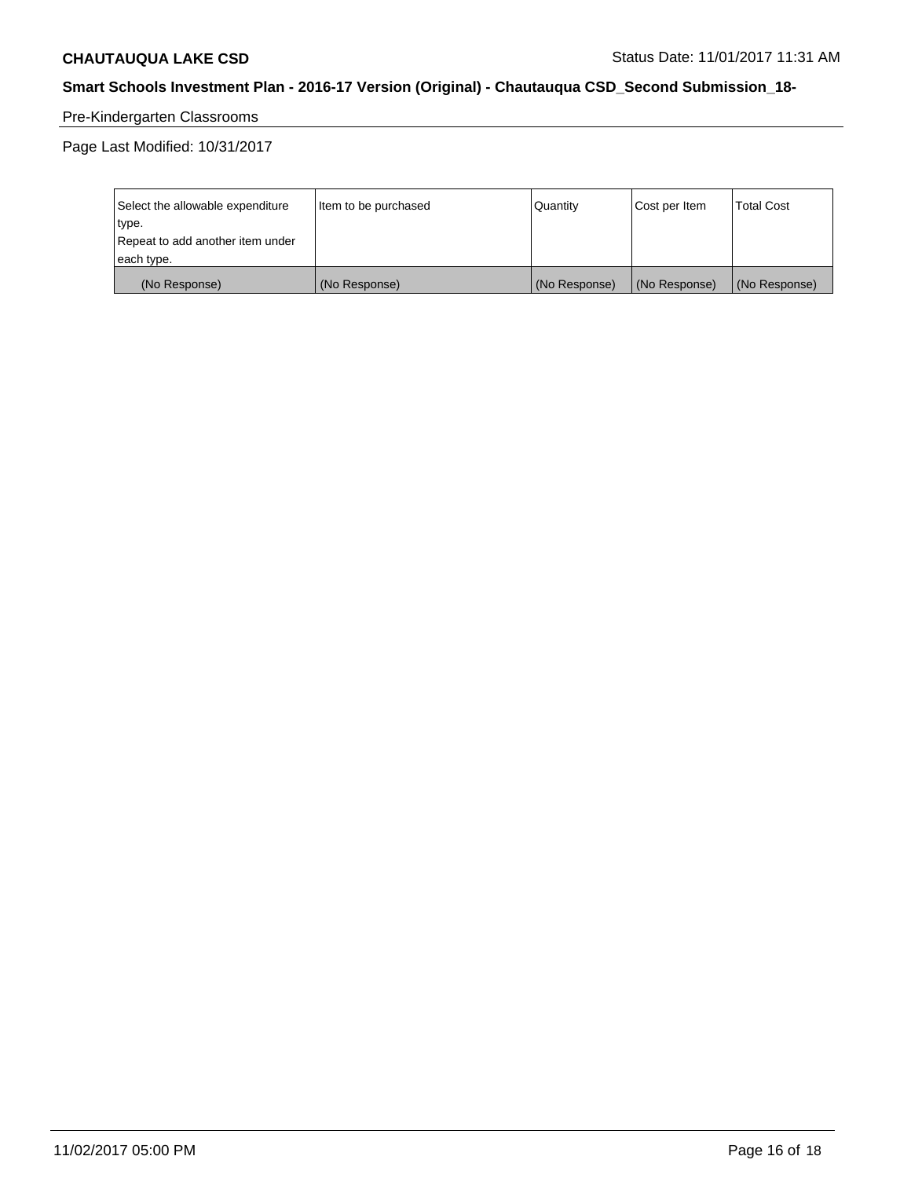# Pre-Kindergarten Classrooms

Page Last Modified: 10/31/2017

| Select the allowable expenditure | Item to be purchased | <b>Quantity</b> | Cost per Item | <b>Total Cost</b> |
|----------------------------------|----------------------|-----------------|---------------|-------------------|
| type.                            |                      |                 |               |                   |
| Repeat to add another item under |                      |                 |               |                   |
| each type.                       |                      |                 |               |                   |
| (No Response)                    | (No Response)        | (No Response)   | (No Response) | (No Response)     |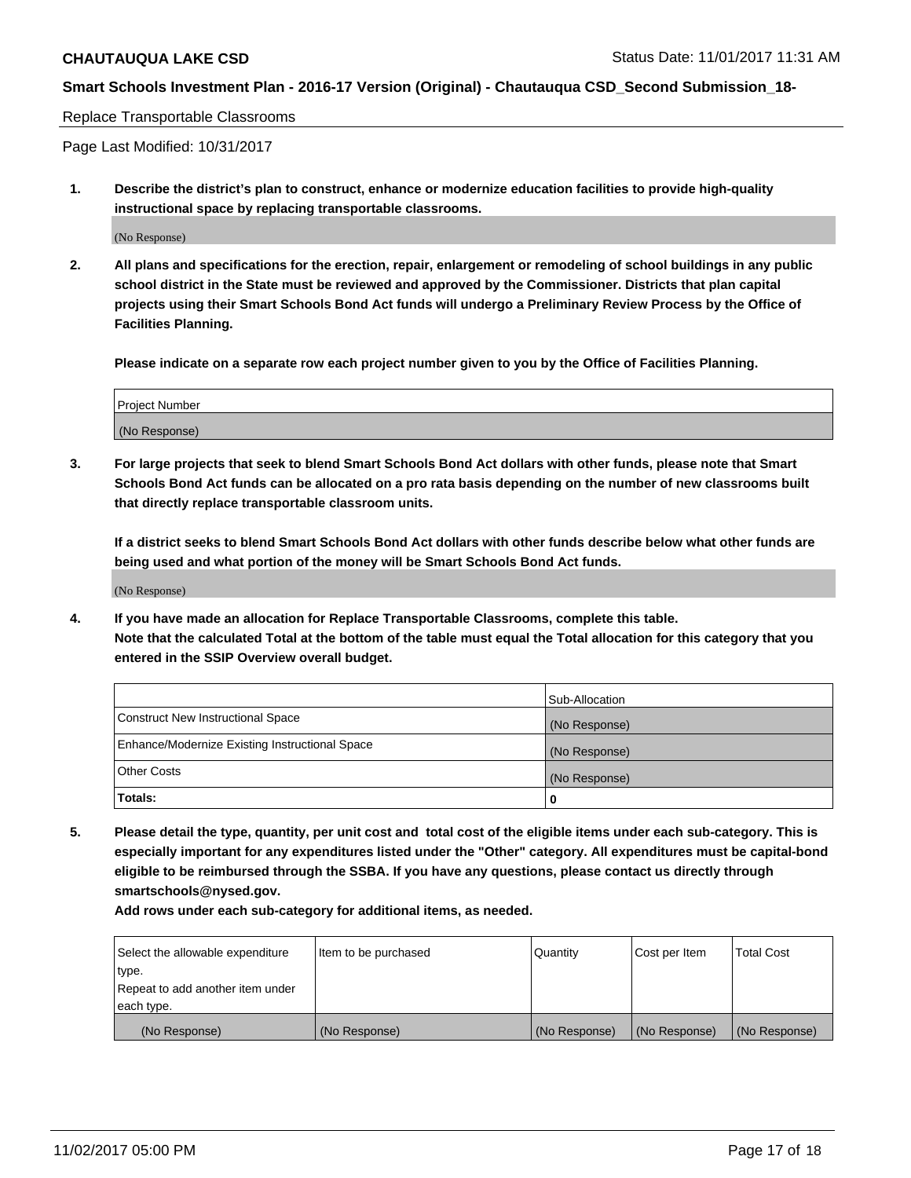#### Replace Transportable Classrooms

Page Last Modified: 10/31/2017

**1. Describe the district's plan to construct, enhance or modernize education facilities to provide high-quality instructional space by replacing transportable classrooms.**

(No Response)

**2. All plans and specifications for the erection, repair, enlargement or remodeling of school buildings in any public school district in the State must be reviewed and approved by the Commissioner. Districts that plan capital projects using their Smart Schools Bond Act funds will undergo a Preliminary Review Process by the Office of Facilities Planning.**

**Please indicate on a separate row each project number given to you by the Office of Facilities Planning.**

| Project Number |  |
|----------------|--|
| (No Response)  |  |

**3. For large projects that seek to blend Smart Schools Bond Act dollars with other funds, please note that Smart Schools Bond Act funds can be allocated on a pro rata basis depending on the number of new classrooms built that directly replace transportable classroom units.**

**If a district seeks to blend Smart Schools Bond Act dollars with other funds describe below what other funds are being used and what portion of the money will be Smart Schools Bond Act funds.**

(No Response)

**4. If you have made an allocation for Replace Transportable Classrooms, complete this table. Note that the calculated Total at the bottom of the table must equal the Total allocation for this category that you entered in the SSIP Overview overall budget.**

|                                                | Sub-Allocation |
|------------------------------------------------|----------------|
| Construct New Instructional Space              | (No Response)  |
| Enhance/Modernize Existing Instructional Space | (No Response)  |
| <b>Other Costs</b>                             | (No Response)  |
| Totals:                                        | 0              |

**5. Please detail the type, quantity, per unit cost and total cost of the eligible items under each sub-category. This is especially important for any expenditures listed under the "Other" category. All expenditures must be capital-bond eligible to be reimbursed through the SSBA. If you have any questions, please contact us directly through smartschools@nysed.gov.**

| Select the allowable expenditure | Item to be purchased | Quantity      | Cost per Item | <b>Total Cost</b> |
|----------------------------------|----------------------|---------------|---------------|-------------------|
| type.                            |                      |               |               |                   |
| Repeat to add another item under |                      |               |               |                   |
| each type.                       |                      |               |               |                   |
| (No Response)                    | (No Response)        | (No Response) | (No Response) | (No Response)     |